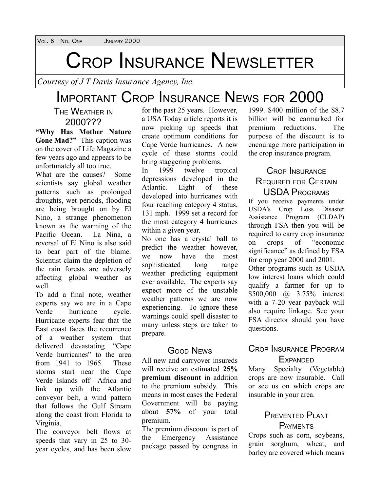### CROP INSURANCE NEWSLETTER

*Courtesy of J T Davis Insurance Agency, Inc.*

### IMPORTANT CROP INSURANCE NEWS FOR 2000

THE WEATHER IN 2000???

**"Why Has Mother Nature Gone Mad?"** This caption was on the cover of Life Magazine a few years ago and appears to be unfortunately all too true.

What are the causes? Some scientists say global weather patterns such as prolonged droughts, wet periods, flooding are being brought on by El Nino, a strange phenomenon known as the warming of the Pacific Ocean. La Nina a reversal of El Nino is also said to bear part of the blame. Scientist claim the depletion of the rain forests are adversely affecting global weather as well.

To add a final note, weather experts say we are in a Cape Verde hurricane cycle. Hurricane experts fear that the East coast faces the recurrence of a weather system that delivered devastating "Cape Verde hurricanes" to the area from 1941 to 1965 These storms start near the Cape Verde Islands off Africa and link up with the Atlantic conveyor belt, a wind pattern that follows the Gulf Stream along the coast from Florida to Virginia.

The conveyor belt flows at speeds that vary in 25 to 30 year cycles, and has been slow

for the past 25 years. However, a USA Today article reports it is now picking up speeds that create optimum conditions for Cape Verde hurricanes. A new cycle of these storms could bring staggering problems.

In 1999 twelve tropical depressions developed in the Atlantic. Eight of these developed into hurricanes with four reaching category 4 status, 131 mph. 1999 set a record for the most category 4 hurricanes within a given year.

No one has a crystal ball to predict the weather however, we now have the most sophisticated long range weather predicting equipment ever available. The experts say expect more of the unstable weather patterns we are now experiencing. To ignore these warnings could spell disaster to many unless steps are taken to prepare.

#### GOOD NEWS

All new and carryover insureds will receive an estimated **25% premium discount** in addition to the premium subsidy. This means in most cases the Federal Government will be paying about **57%** of your total premium.

The premium discount is part of the Emergency Assistance package passed by congress in

1999. \$400 million of the \$8.7 billion will be earmarked for premium reductions. The purpose of the discount is to encourage more participation in the crop insurance program.

#### CROP INSURANCE REQUIRED FOR CERTAIN USDA PROGRAMS

If you receive payments under USDA's Crop Loss Disaster Assistance Program (CLDAP) through FSA then you will be required to carry crop insurance on crops of "economic significance" as defined by FSA for crop year 2000 and 2001. Other programs such as USDA

low interest loans which could qualify a farmer for up to \$500,000 @ 3.75% interest with a 7-20 year payback will also require linkage. See your FSA director should you have questions.

#### CROP INSURANCE PROGRAM **EXPANDED**

Many Specialty (Vegetable) crops are now insurable. Call or see us on which crops are insurable in your area.

#### PREVENTED PLANT **PAYMENTS**

Crops such as corn, soybeans, grain sorghum, wheat, and barley are covered which means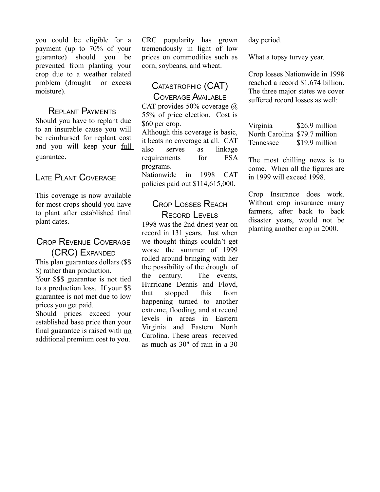you could be eligible for a payment (up to 70% of your guarantee) should you be prevented from planting your crop due to a weather related problem (drought or excess moisture).

#### REPLANT PAYMENTS

Should you have to replant due to an insurable cause you will be reimbursed for replant cost and you will keep your full guarantee.

#### LATE PLANT COVERAGE

This coverage is now available for most crops should you have to plant after established final plant dates.

#### CROP REVENUE COVERAGE (CRC) EXPANDED This plan guarantees dollars (\$\$

\$) rather than production. Your \$\$\$ guarantee is not tied to a production loss. If your \$\$ guarantee is not met due to low prices you get paid.

Should prices exceed your established base price then your final guarantee is raised with no additional premium cost to you.

CRC popularity has grown tremendously in light of low prices on commodities such as corn, soybeans, and wheat.

#### CATASTROPHIC (CAT) COVERAGE AVAILABLE

CAT provides 50% coverage @ 55% of price election. Cost is \$60 per crop.

Although this coverage is basic, it beats no coverage at all. CAT also serves as linkage requirements for FSA programs. Nationwide in 1998 CAT policies paid out \$114,615,000.

#### CROP LOSSES REACH RECORD LEVELS

1998 was the 2nd driest year on record in 131 years. Just when we thought things couldn't get worse the summer of 1999 rolled around bringing with her the possibility of the drought of the century. The events, Hurricane Dennis and Floyd, that stopped this from happening turned to another extreme, flooding, and at record levels in areas in Eastern Virginia and Eastern North Carolina. These areas received as much as 30" of rain in a 30

day period.

What a topsy turvey year.

Crop losses Nationwide in 1998 reached a record \$1.674 billion. The three major states we cover suffered record losses as well:

Virginia \$26.9 million North Carolina \$79.7 million Tennessee \$19.9 million

The most chilling news is to come. When all the figures are in 1999 will exceed 1998.

Crop Insurance does work. Without crop insurance many farmers, after back to back disaster years, would not be planting another crop in 2000.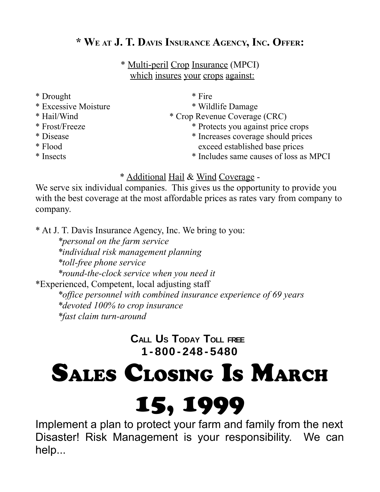#### **\* W<sup>E</sup> AT J. T. DAVIS INSURANCE AGENCY, INC. OFFER:**

\* Multi-peril Crop Insurance (MPCI) which insures your crops against:

- \* Drought  $*$  Fire
- \* Excessive Moisture \* Wildlife Damage
- 
- 
- 
- 
- 

- 
- \* Hail/Wind \* Crop Revenue Coverage (CRC)
- \* Frost/Freeze \* Protects you against price crops
- \* Disease \* Increases coverage should prices \* Flood exceed established base prices
- \* Insects \* Includes same causes of loss as MPCI

#### \* Additional Hail & Wind Coverage -

We serve six individual companies. This gives us the opportunity to provide you with the best coverage at the most affordable prices as rates vary from company to company.

\* At J. T. Davis Insurance Agency, Inc. We bring to you:

*\*personal on the farm service \*individual risk management planning \*toll-free phone service \*round-the-clock service when you need it* \*Experienced, Competent, local adjusting staff *\*office personnel with combined insurance experience of 69 years \*devoted 100% to crop insurance \*fast claim turn-around*

> **CALL US TODAY TOLL FREE 1 - 800 - 248 - 5480**

# SALES CLOSING IS MARCH

# 15, 1999

Implement a plan to protect your farm and family from the next Disaster! Risk Management is your responsibility. We can help...